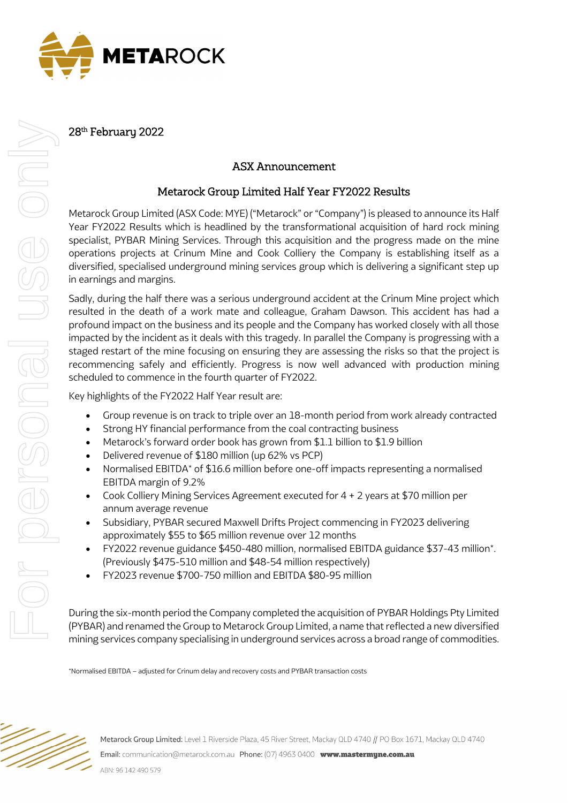

28<sup>th</sup> February 2022

## ASX Announcement

## Metarock Group Limited Half Year FY2022 Results

Metarock Group Limited (ASX Code: MYE) ("Metarock" or "Company") is pleased to announce its Half Year FY2022 Results which is headlined by the transformational acquisition of hard rock mining specialist, PYBAR Mining Services. Through this acquisition and the progress made on the mine operations projects at Crinum Mine and Cook Colliery the Company is establishing itself as a diversified, specialised underground mining services group which is delivering a significant step up in earnings and margins.

Sadly, during the half there was a serious underground accident at the Crinum Mine project which resulted in the death of a work mate and colleague, Graham Dawson. This accident has had a profound impact on the business and its people and the Company has worked closely with all those impacted by the incident as it deals with this tragedy. In parallel the Company is progressing with a staged restart of the mine focusing on ensuring they are assessing the risks so that the project is recommencing safely and efficiently. Progress is now well advanced with production mining scheduled to commence in the fourth quarter of FY2022.

Key highlights of the FY2022 Half Year result are:

- Group revenue is on track to triple over an 18-month period from work already contracted
- Strong HY financial performance from the coal contracting business
- Metarock's forward order book has grown from \$1.1 billion to \$1.9 billion
- Delivered revenue of \$180 million (up 62% vs PCP)
- Normalised EBITDA\* of \$16.6 million before one-off impacts representing a normalised EBITDA margin of 9.2%
- Cook Colliery Mining Services Agreement executed for 4 + 2 years at \$70 million per annum average revenue
- Subsidiary, PYBAR secured Maxwell Drifts Project commencing in FY2023 delivering approximately \$55 to \$65 million revenue over 12 months
- FY2022 revenue guidance \$450-480 million, normalised EBITDA guidance \$37-43 million\*. (Previously \$475-510 million and \$48-54 million respectively)
- FY2023 revenue \$700-750 million and EBITDA \$80-95 million

During the six-month period the Company completed the acquisition of PYBAR Holdings Pty Limited (PYBAR) and renamed the Group to Metarock Group Limited, a name that reflected a new diversified mining services company specialising in underground services across a broad range of commodities.

\*Normalised EBITDA – adjusted for Crinum delay and recovery costs and PYBAR transaction costs

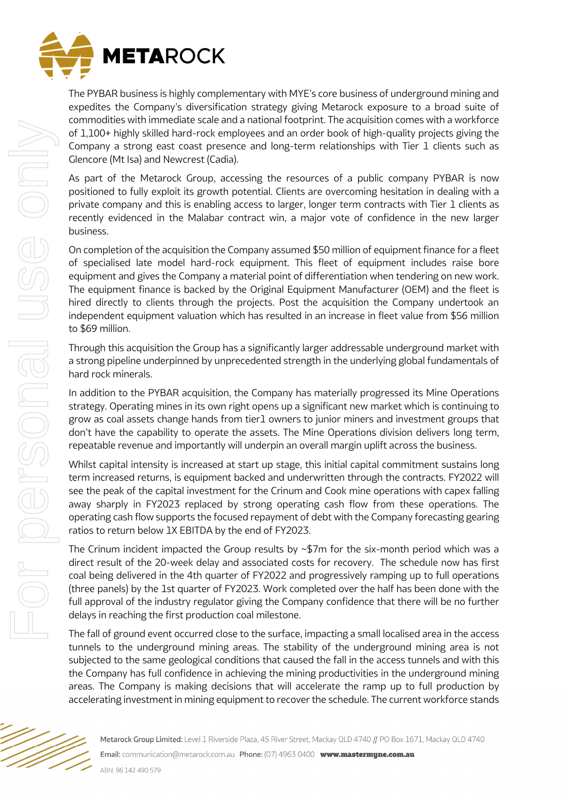

The PYBAR business is highly complementary with MYE's core business of underground mining and expedites the Company's diversification strategy giving Metarock exposure to a broad suite of commodities with immediate scale and a national footprint. The acquisition comes with a workforce of 1,100+ highly skilled hard-rock employees and an order book of high-quality projects giving the Company a strong east coast presence and long-term relationships with Tier 1 clients such as Glencore (Mt Isa) and Newcrest (Cadia).

As part of the Metarock Group, accessing the resources of a public company PYBAR is now positioned to fully exploit its growth potential. Clients are overcoming hesitation in dealing with a private company and this is enabling access to larger, longer term contracts with Tier 1 clients as recently evidenced in the Malabar contract win, a major vote of confidence in the new larger business.

On completion of the acquisition the Company assumed \$50 million of equipment finance for a fleet of specialised late model hard-rock equipment. This fleet of equipment includes raise bore equipment and gives the Company a material point of differentiation when tendering on new work. The equipment finance is backed by the Original Equipment Manufacturer (OEM) and the fleet is hired directly to clients through the projects. Post the acquisition the Company undertook an independent equipment valuation which has resulted in an increase in fleet value from \$56 million to \$69 million.

Through this acquisition the Group has a significantly larger addressable underground market with a strong pipeline underpinned by unprecedented strength in the underlying global fundamentals of hard rock minerals.

In addition to the PYBAR acquisition, the Company has materially progressed its Mine Operations strategy. Operating mines in its own right opens up a significant new market which is continuing to grow as coal assets change hands from tier1 owners to junior miners and investment groups that don't have the capability to operate the assets. The Mine Operations division delivers long term, repeatable revenue and importantly will underpin an overall margin uplift across the business.

Whilst capital intensity is increased at start up stage, this initial capital commitment sustains long term increased returns, is equipment backed and underwritten through the contracts. FY2022 will see the peak of the capital investment for the Crinum and Cook mine operations with capex falling away sharply in FY2023 replaced by strong operating cash flow from these operations. The operating cash flow supports the focused repayment of debt with the Company forecasting gearing ratios to return below 1X EBITDA by the end of FY2023.

The Crinum incident impacted the Group results by  $\sim$ \$7m for the six-month period which was a direct result of the 20-week delay and associated costs for recovery. The schedule now has first coal being delivered in the 4th quarter of FY2022 and progressively ramping up to full operations (three panels) by the 1st quarter of FY2023. Work completed over the half has been done with the full approval of the industry regulator giving the Company confidence that there will be no further delays in reaching the first production coal milestone.

The fall of ground event occurred close to the surface, impacting a small localised area in the access tunnels to the underground mining areas. The stability of the underground mining area is not subjected to the same geological conditions that caused the fall in the access tunnels and with this the Company has full confidence in achieving the mining productivities in the underground mining areas. The Company is making decisions that will accelerate the ramp up to full production by accelerating investment in mining equipment to recover the schedule. The current workforce stands

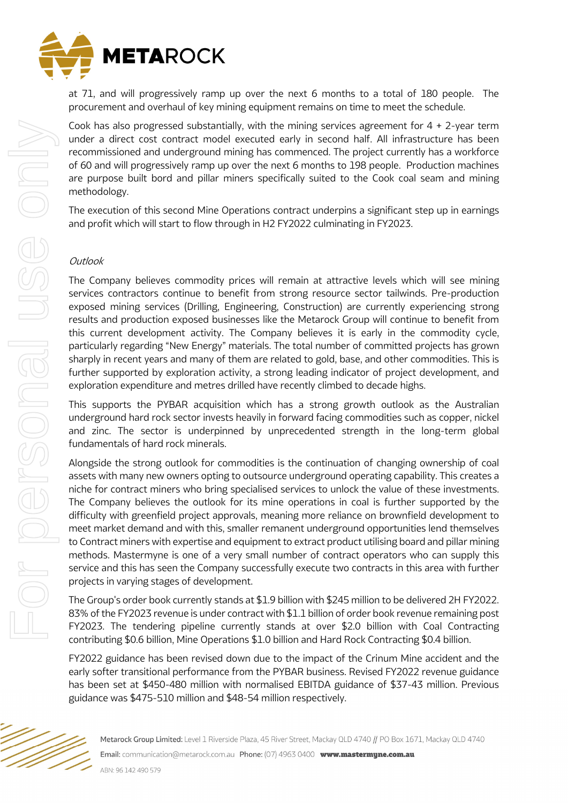

at 71, and will progressively ramp up over the next 6 months to a total of 180 people. The procurement and overhaul of key mining equipment remains on time to meet the schedule.

Cook has also progressed substantially, with the mining services agreement for  $4 + 2$ -year term under a direct cost contract model executed early in second half. All infrastructure has been recommissioned and underground mining has commenced. The project currently has a workforce of 60 and will progressively ramp up over the next 6 months to 198 people. Production machines are purpose built bord and pillar miners specifically suited to the Cook coal seam and mining methodology.

The execution of this second Mine Operations contract underpins a significant step up in earnings and profit which will start to flow through in H2 FY2022 culminating in FY2023.

## **Outlook**

For personal use only

For personal use onn

The Company believes commodity prices will remain at attractive levels which will see mining services contractors continue to benefit from strong resource sector tailwinds. Pre-production exposed mining services (Drilling, Engineering, Construction) are currently experiencing strong results and production exposed businesses like the Metarock Group will continue to benefit from this current development activity. The Company believes it is early in the commodity cycle, particularly regarding "New Energy" materials. The total number of committed projects has grown sharply in recent years and many of them are related to gold, base, and other commodities. This is further supported by exploration activity, a strong leading indicator of project development, and exploration expenditure and metres drilled have recently climbed to decade highs.

This supports the PYBAR acquisition which has a strong growth outlook as the Australian underground hard rock sector invests heavily in forward facing commodities such as copper, nickel and zinc. The sector is underpinned by unprecedented strength in the long-term global fundamentals of hard rock minerals.

Alongside the strong outlook for commodities is the continuation of changing ownership of coal assets with many new owners opting to outsource underground operating capability. This creates a niche for contract miners who bring specialised services to unlock the value of these investments. The Company believes the outlook for its mine operations in coal is further supported by the difficulty with greenfield project approvals, meaning more reliance on brownfield development to meet market demand and with this, smaller remanent underground opportunities lend themselves to Contract miners with expertise and equipment to extract product utilising board and pillar mining methods. Mastermyne is one of a very small number of contract operators who can supply this service and this has seen the Company successfully execute two contracts in this area with further projects in varying stages of development.

The Group's order book currently stands at \$1.9 billion with \$245 million to be delivered 2H FY2022. 83% of the FY2023 revenue is under contract with \$1.1 billion of order book revenue remaining post FY2023. The tendering pipeline currently stands at over \$2.0 billion with Coal Contracting contributing \$0.6 billion, Mine Operations \$1.0 billion and Hard Rock Contracting \$0.4 billion.

FY2022 guidance has been revised down due to the impact of the Crinum Mine accident and the early softer transitional performance from the PYBAR business. Revised FY2022 revenue guidance has been set at \$450-480 million with normalised EBITDA guidance of \$37-43 million. Previous guidance was \$475-510 million and \$48-54 million respectively.